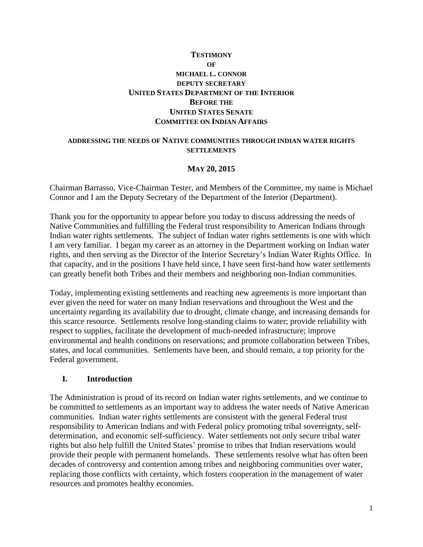## **TESTIMONY OF MICHAEL L. CONNOR DEPUTY SECRETARY UNITED STATES DEPARTMENT OF THE INTERIOR BEFORE THE UNITED STATES SENATE COMMITTEE ON INDIAN AFFAIRS**

#### **ADDRESSING THE NEEDS OF NATIVE COMMUNITIES THROUGH INDIAN WATER RIGHTS SETTLEMENTS**

#### **MAY 20, 2015**

Chairman Barrasso, Vice-Chairman Tester, and Members of the Committee, my name is Michael Connor and I am the Deputy Secretary of the Department of the Interior (Department).

Thank you for the opportunity to appear before you today to discuss addressing the needs of Native Communities and fulfilling the Federal trust responsibility to American Indians through Indian water rights settlements. The subject of Indian water rights settlements is one with which I am very familiar. I began my career as an attorney in the Department working on Indian water rights, and then serving as the Director of the Interior Secretary's Indian Water Rights Office. In that capacity, and in the positions I have held since, I have seen first-hand how water settlements can greatly benefit both Tribes and their members and neighboring non-Indian communities.

Today, implementing existing settlements and reaching new agreements is more important than ever given the need for water on many Indian reservations and throughout the West and the uncertainty regarding its availability due to drought, climate change, and increasing demands for this scarce resource. Settlements resolve long-standing claims to water; provide reliability with respect to supplies, facilitate the development of much-needed infrastructure; improve environmental and health conditions on reservations; and promote collaboration between Tribes, states, and local communities. Settlements have been, and should remain, a top priority for the Federal government.

#### **I. Introduction**

The Administration is proud of its record on Indian water rights settlements, and we continue to be committed to settlements as an important way to address the water needs of Native American communities. Indian water rights settlements are consistent with the general Federal trust responsibility to American Indians and with Federal policy promoting tribal sovereignty, selfdetermination, and economic self-sufficiency. Water settlements not only secure tribal water rights but also help fulfill the United States' promise to tribes that Indian reservations would provide their people with permanent homelands. These settlements resolve what has often been decades of controversy and contention among tribes and neighboring communities over water, replacing those conflicts with certainty, which fosters cooperation in the management of water resources and promotes healthy economies.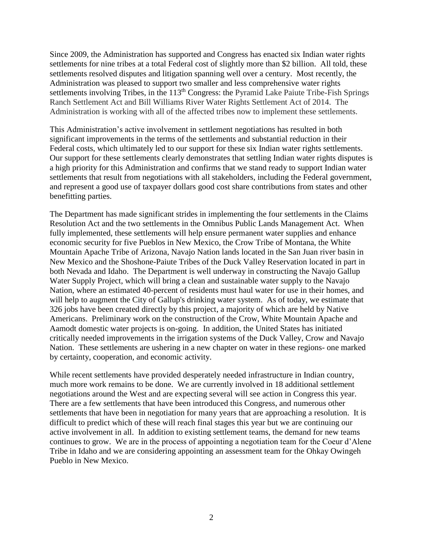Since 2009, the Administration has supported and Congress has enacted six Indian water rights settlements for nine tribes at a total Federal cost of slightly more than \$2 billion. All told, these settlements resolved disputes and litigation spanning well over a century. Most recently, the Administration was pleased to support two smaller and less comprehensive water rights settlements involving Tribes, in the 113<sup>th</sup> Congress: the Pyramid Lake Paiute Tribe-Fish Springs Ranch Settlement Act and Bill Williams River Water Rights Settlement Act of 2014. The Administration is working with all of the affected tribes now to implement these settlements.

This Administration's active involvement in settlement negotiations has resulted in both significant improvements in the terms of the settlements and substantial reduction in their Federal costs, which ultimately led to our support for these six Indian water rights settlements. Our support for these settlements clearly demonstrates that settling Indian water rights disputes is a high priority for this Administration and confirms that we stand ready to support Indian water settlements that result from negotiations with all stakeholders, including the Federal government, and represent a good use of taxpayer dollars good cost share contributions from states and other benefitting parties.

The Department has made significant strides in implementing the four settlements in the Claims Resolution Act and the two settlements in the Omnibus Public Lands Management Act. When fully implemented, these settlements will help ensure permanent water supplies and enhance economic security for five Pueblos in New Mexico, the Crow Tribe of Montana, the White Mountain Apache Tribe of Arizona, Navajo Nation lands located in the San Juan river basin in New Mexico and the Shoshone-Paiute Tribes of the Duck Valley Reservation located in part in both Nevada and Idaho. The Department is well underway in constructing the Navajo Gallup Water Supply Project, which will bring a clean and sustainable water supply to the Navajo Nation, where an estimated 40-percent of residents must haul water for use in their homes, and will help to augment the City of Gallup's drinking water system. As of today, we estimate that 326 jobs have been created directly by this project, a majority of which are held by Native Americans. Preliminary work on the construction of the Crow, White Mountain Apache and Aamodt domestic water projects is on-going. In addition, the United States has initiated critically needed improvements in the irrigation systems of the Duck Valley, Crow and Navajo Nation. These settlements are ushering in a new chapter on water in these regions- one marked by certainty, cooperation, and economic activity.

While recent settlements have provided desperately needed infrastructure in Indian country, much more work remains to be done. We are currently involved in 18 additional settlement negotiations around the West and are expecting several will see action in Congress this year. There are a few settlements that have been introduced this Congress, and numerous other settlements that have been in negotiation for many years that are approaching a resolution. It is difficult to predict which of these will reach final stages this year but we are continuing our active involvement in all. In addition to existing settlement teams, the demand for new teams continues to grow. We are in the process of appointing a negotiation team for the Coeur d'Alene Tribe in Idaho and we are considering appointing an assessment team for the Ohkay Owingeh Pueblo in New Mexico.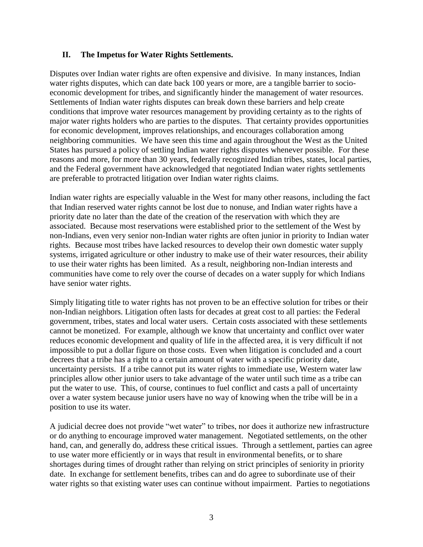#### **II. The Impetus for Water Rights Settlements.**

Disputes over Indian water rights are often expensive and divisive. In many instances, Indian water rights disputes, which can date back 100 years or more, are a tangible barrier to socioeconomic development for tribes, and significantly hinder the management of water resources. Settlements of Indian water rights disputes can break down these barriers and help create conditions that improve water resources management by providing certainty as to the rights of major water rights holders who are parties to the disputes. That certainty provides opportunities for economic development, improves relationships, and encourages collaboration among neighboring communities. We have seen this time and again throughout the West as the United States has pursued a policy of settling Indian water rights disputes whenever possible. For these reasons and more, for more than 30 years, federally recognized Indian tribes, states, local parties, and the Federal government have acknowledged that negotiated Indian water rights settlements are preferable to protracted litigation over Indian water rights claims.

Indian water rights are especially valuable in the West for many other reasons, including the fact that Indian reserved water rights cannot be lost due to nonuse, and Indian water rights have a priority date no later than the date of the creation of the reservation with which they are associated. Because most reservations were established prior to the settlement of the West by non-Indians, even very senior non-Indian water rights are often junior in priority to Indian water rights. Because most tribes have lacked resources to develop their own domestic water supply systems, irrigated agriculture or other industry to make use of their water resources, their ability to use their water rights has been limited. As a result, neighboring non-Indian interests and communities have come to rely over the course of decades on a water supply for which Indians have senior water rights.

Simply litigating title to water rights has not proven to be an effective solution for tribes or their non-Indian neighbors. Litigation often lasts for decades at great cost to all parties: the Federal government, tribes, states and local water users. Certain costs associated with these settlements cannot be monetized. For example, although we know that uncertainty and conflict over water reduces economic development and quality of life in the affected area, it is very difficult if not impossible to put a dollar figure on those costs. Even when litigation is concluded and a court decrees that a tribe has a right to a certain amount of water with a specific priority date, uncertainty persists. If a tribe cannot put its water rights to immediate use, Western water law principles allow other junior users to take advantage of the water until such time as a tribe can put the water to use. This, of course, continues to fuel conflict and casts a pall of uncertainty over a water system because junior users have no way of knowing when the tribe will be in a position to use its water.

A judicial decree does not provide "wet water" to tribes, nor does it authorize new infrastructure or do anything to encourage improved water management. Negotiated settlements, on the other hand, can, and generally do, address these critical issues. Through a settlement, parties can agree to use water more efficiently or in ways that result in environmental benefits, or to share shortages during times of drought rather than relying on strict principles of seniority in priority date. In exchange for settlement benefits, tribes can and do agree to subordinate use of their water rights so that existing water uses can continue without impairment. Parties to negotiations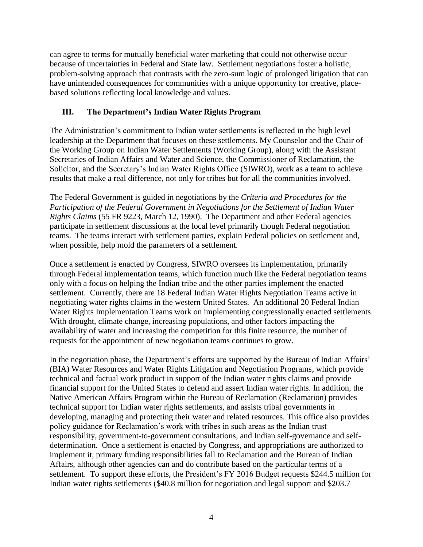can agree to terms for mutually beneficial water marketing that could not otherwise occur because of uncertainties in Federal and State law. Settlement negotiations foster a holistic, problem-solving approach that contrasts with the zero-sum logic of prolonged litigation that can have unintended consequences for communities with a unique opportunity for creative, placebased solutions reflecting local knowledge and values.

# **III. The Department's Indian Water Rights Program**

The Administration's commitment to Indian water settlements is reflected in the high level leadership at the Department that focuses on these settlements. My Counselor and the Chair of the Working Group on Indian Water Settlements (Working Group), along with the Assistant Secretaries of Indian Affairs and Water and Science, the Commissioner of Reclamation, the Solicitor, and the Secretary's Indian Water Rights Office (SIWRO), work as a team to achieve results that make a real difference, not only for tribes but for all the communities involved.

The Federal Government is guided in negotiations by the *Criteria and Procedures for the Participation of the Federal Government in Negotiations for the Settlement of Indian Water Rights Claims* (55 FR 9223, March 12, 1990). The Department and other Federal agencies participate in settlement discussions at the local level primarily though Federal negotiation teams. The teams interact with settlement parties, explain Federal policies on settlement and, when possible, help mold the parameters of a settlement.

Once a settlement is enacted by Congress, SIWRO oversees its implementation, primarily through Federal implementation teams, which function much like the Federal negotiation teams only with a focus on helping the Indian tribe and the other parties implement the enacted settlement. Currently, there are 18 Federal Indian Water Rights Negotiation Teams active in negotiating water rights claims in the western United States. An additional 20 Federal Indian Water Rights Implementation Teams work on implementing congressionally enacted settlements. With drought, climate change, increasing populations, and other factors impacting the availability of water and increasing the competition for this finite resource, the number of requests for the appointment of new negotiation teams continues to grow.

In the negotiation phase, the Department's efforts are supported by the Bureau of Indian Affairs' (BIA) Water Resources and Water Rights Litigation and Negotiation Programs, which provide technical and factual work product in support of the Indian water rights claims and provide financial support for the United States to defend and assert Indian water rights. In addition, the Native American Affairs Program within the Bureau of Reclamation (Reclamation) provides technical support for Indian water rights settlements, and assists tribal governments in developing, managing and protecting their water and related resources. This office also provides policy guidance for Reclamation's work with tribes in such areas as the Indian trust responsibility, government-to-government consultations, and Indian self-governance and selfdetermination. Once a settlement is enacted by Congress, and appropriations are authorized to implement it, primary funding responsibilities fall to Reclamation and the Bureau of Indian Affairs, although other agencies can and do contribute based on the particular terms of a settlement. To support these efforts, the President's FY 2016 Budget requests \$244.5 million for Indian water rights settlements (\$40.8 million for negotiation and legal support and \$203.7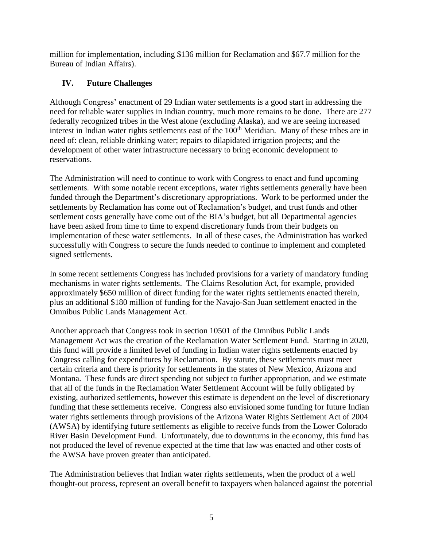million for implementation, including \$136 million for Reclamation and \$67.7 million for the Bureau of Indian Affairs).

# **IV. Future Challenges**

Although Congress' enactment of 29 Indian water settlements is a good start in addressing the need for reliable water supplies in Indian country, much more remains to be done. There are 277 federally recognized tribes in the West alone (excluding Alaska), and we are seeing increased interest in Indian water rights settlements east of the 100<sup>th</sup> Meridian. Many of these tribes are in need of: clean, reliable drinking water; repairs to dilapidated irrigation projects; and the development of other water infrastructure necessary to bring economic development to reservations.

The Administration will need to continue to work with Congress to enact and fund upcoming settlements. With some notable recent exceptions, water rights settlements generally have been funded through the Department's discretionary appropriations. Work to be performed under the settlements by Reclamation has come out of Reclamation's budget, and trust funds and other settlement costs generally have come out of the BIA's budget, but all Departmental agencies have been asked from time to time to expend discretionary funds from their budgets on implementation of these water settlements. In all of these cases, the Administration has worked successfully with Congress to secure the funds needed to continue to implement and completed signed settlements.

In some recent settlements Congress has included provisions for a variety of mandatory funding mechanisms in water rights settlements. The Claims Resolution Act, for example, provided approximately \$650 million of direct funding for the water rights settlements enacted therein, plus an additional \$180 million of funding for the Navajo-San Juan settlement enacted in the Omnibus Public Lands Management Act.

Another approach that Congress took in section 10501 of the Omnibus Public Lands Management Act was the creation of the Reclamation Water Settlement Fund. Starting in 2020, this fund will provide a limited level of funding in Indian water rights settlements enacted by Congress calling for expenditures by Reclamation. By statute, these settlements must meet certain criteria and there is priority for settlements in the states of New Mexico, Arizona and Montana. These funds are direct spending not subject to further appropriation, and we estimate that all of the funds in the Reclamation Water Settlement Account will be fully obligated by existing, authorized settlements, however this estimate is dependent on the level of discretionary funding that these settlements receive. Congress also envisioned some funding for future Indian water rights settlements through provisions of the Arizona Water Rights Settlement Act of 2004 (AWSA) by identifying future settlements as eligible to receive funds from the Lower Colorado River Basin Development Fund. Unfortunately, due to downturns in the economy, this fund has not produced the level of revenue expected at the time that law was enacted and other costs of the AWSA have proven greater than anticipated.

The Administration believes that Indian water rights settlements, when the product of a well thought-out process, represent an overall benefit to taxpayers when balanced against the potential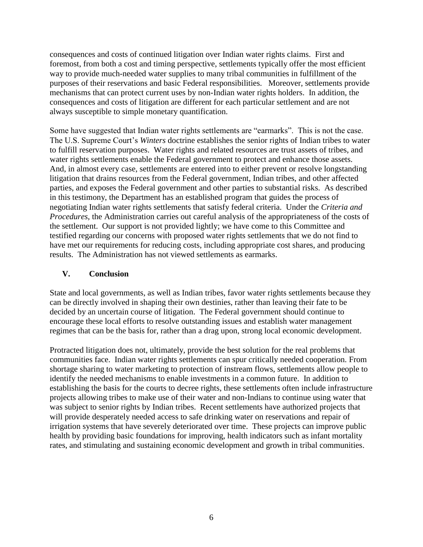consequences and costs of continued litigation over Indian water rights claims. First and foremost, from both a cost and timing perspective, settlements typically offer the most efficient way to provide much-needed water supplies to many tribal communities in fulfillment of the purposes of their reservations and basic Federal responsibilities. Moreover, settlements provide mechanisms that can protect current uses by non-Indian water rights holders. In addition, the consequences and costs of litigation are different for each particular settlement and are not always susceptible to simple monetary quantification.

Some have suggested that Indian water rights settlements are "earmarks". This is not the case. The U.S. Supreme Court's *Winters* doctrine establishes the senior rights of Indian tribes to water to fulfill reservation purposes. Water rights and related resources are trust assets of tribes, and water rights settlements enable the Federal government to protect and enhance those assets. And, in almost every case, settlements are entered into to either prevent or resolve longstanding litigation that drains resources from the Federal government, Indian tribes, and other affected parties, and exposes the Federal government and other parties to substantial risks. As described in this testimony, the Department has an established program that guides the process of negotiating Indian water rights settlements that satisfy federal criteria. Under the *Criteria and Procedures*, the Administration carries out careful analysis of the appropriateness of the costs of the settlement. Our support is not provided lightly; we have come to this Committee and testified regarding our concerns with proposed water rights settlements that we do not find to have met our requirements for reducing costs, including appropriate cost shares, and producing results. The Administration has not viewed settlements as earmarks.

## **V. Conclusion**

State and local governments, as well as Indian tribes, favor water rights settlements because they can be directly involved in shaping their own destinies, rather than leaving their fate to be decided by an uncertain course of litigation. The Federal government should continue to encourage these local efforts to resolve outstanding issues and establish water management regimes that can be the basis for, rather than a drag upon, strong local economic development.

Protracted litigation does not, ultimately, provide the best solution for the real problems that communities face. Indian water rights settlements can spur critically needed cooperation. From shortage sharing to water marketing to protection of instream flows, settlements allow people to identify the needed mechanisms to enable investments in a common future. In addition to establishing the basis for the courts to decree rights, these settlements often include infrastructure projects allowing tribes to make use of their water and non-Indians to continue using water that was subject to senior rights by Indian tribes. Recent settlements have authorized projects that will provide desperately needed access to safe drinking water on reservations and repair of irrigation systems that have severely deteriorated over time. These projects can improve public health by providing basic foundations for improving, health indicators such as infant mortality rates, and stimulating and sustaining economic development and growth in tribal communities.